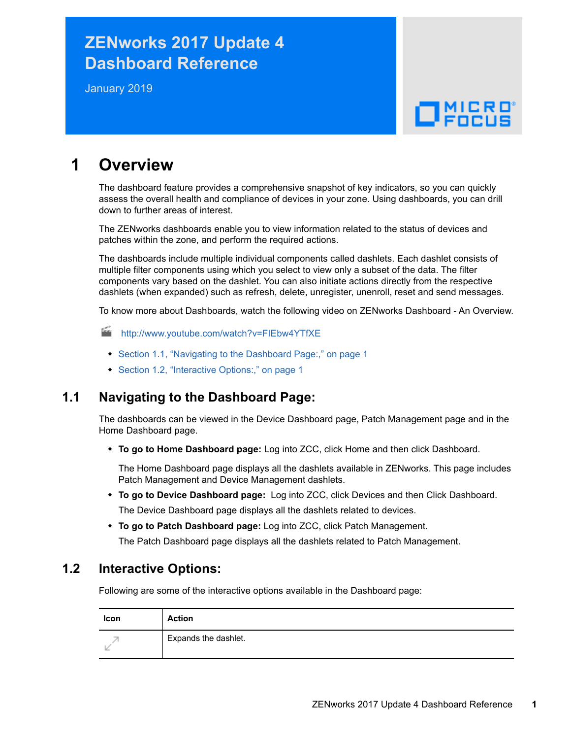# **ZENworks 2017 Update 4 Dashboard Reference**

January 2019

# $\Box$ MICRO

# **1 Overview**

The dashboard feature provides a comprehensive snapshot of key indicators, so you can quickly assess the overall health and compliance of devices in your zone. Using dashboards, you can drill down to further areas of interest.

The ZENworks dashboards enable you to view information related to the status of devices and patches within the zone, and perform the required actions.

The dashboards include multiple individual components called dashlets. Each dashlet consists of multiple filter components using which you select to view only a subset of the data. The filter components vary based on the dashlet. You can also initiate actions directly from the respective dashlets (when expanded) such as refresh, delete, unregister, unenroll, reset and send messages.

To know more about Dashboards, watch the following video on ZENworks Dashboard - An Overview.

<http://www.youtube.com/watch?v=FIEbw4YTfXE>

- [Section 1.1, "Navigating to the Dashboard Page:," on page 1](#page-0-0)
- [Section 1.2, "Interactive Options:," on page 1](#page-0-1)

### <span id="page-0-0"></span>**1.1 Navigating to the Dashboard Page:**

The dashboards can be viewed in the Device Dashboard page, Patch Management page and in the Home Dashboard page.

**To go to Home Dashboard page:** Log into ZCC, click Home and then click Dashboard.

The Home Dashboard page displays all the dashlets available in ZENworks. This page includes Patch Management and Device Management dashlets.

- **To go to Device Dashboard page:** Log into ZCC, click Devices and then Click Dashboard. The Device Dashboard page displays all the dashlets related to devices.
- **To go to Patch Dashboard page:** Log into ZCC, click Patch Management. The Patch Dashboard page displays all the dashlets related to Patch Management.

### <span id="page-0-1"></span>**1.2 Interactive Options:**

Following are some of the interactive options available in the Dashboard page:

| <b>Icon</b> | <b>Action</b>        |
|-------------|----------------------|
|             | Expands the dashlet. |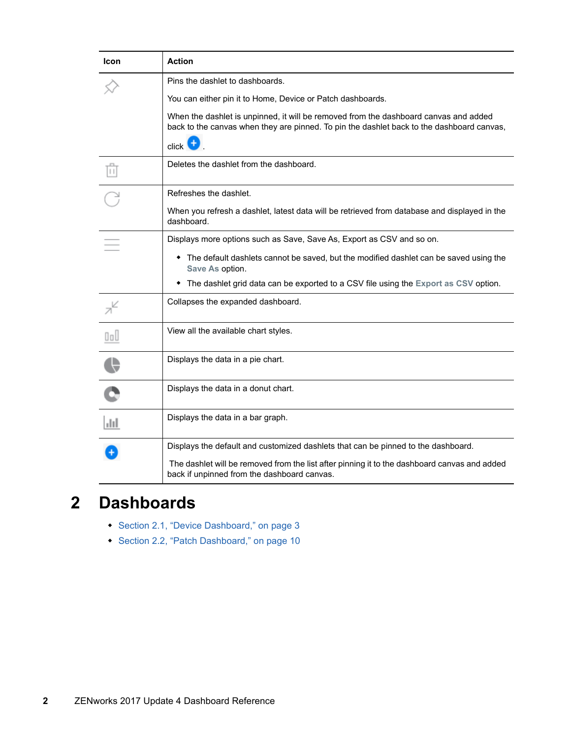| <b>Icon</b>    | <b>Action</b>                                                                                                                                                                     |
|----------------|-----------------------------------------------------------------------------------------------------------------------------------------------------------------------------------|
|                | Pins the dashlet to dashboards.                                                                                                                                                   |
|                | You can either pin it to Home, Device or Patch dashboards.                                                                                                                        |
|                | When the dashlet is unpinned, it will be removed from the dashboard canvas and added<br>back to the canvas when they are pinned. To pin the dashlet back to the dashboard canvas, |
|                | $click$ +                                                                                                                                                                         |
| īπ             | Deletes the dashlet from the dashboard.                                                                                                                                           |
|                | Refreshes the dashlet.                                                                                                                                                            |
|                | When you refresh a dashlet, latest data will be retrieved from database and displayed in the<br>dashboard.                                                                        |
|                | Displays more options such as Save, Save As, Export as CSV and so on.                                                                                                             |
|                | • The default dashlets cannot be saved, but the modified dashlet can be saved using the<br>Save As option.                                                                        |
|                | • The dashlet grid data can be exported to a CSV file using the Export as CSV option.                                                                                             |
| λ <sup>Κ</sup> | Collapses the expanded dashboard.                                                                                                                                                 |
| OoO            | View all the available chart styles.                                                                                                                                              |
|                | Displays the data in a pie chart.                                                                                                                                                 |
|                | Displays the data in a donut chart.                                                                                                                                               |
| Jıl.           | Displays the data in a bar graph.                                                                                                                                                 |
|                | Displays the default and customized dashlets that can be pinned to the dashboard.                                                                                                 |
|                | The dashlet will be removed from the list after pinning it to the dashboard canvas and added<br>back if unpinned from the dashboard canvas.                                       |

# **2 Dashboards**

- [Section 2.1, "Device Dashboard," on page 3](#page-2-0)
- [Section 2.2, "Patch Dashboard," on page 10](#page-9-0)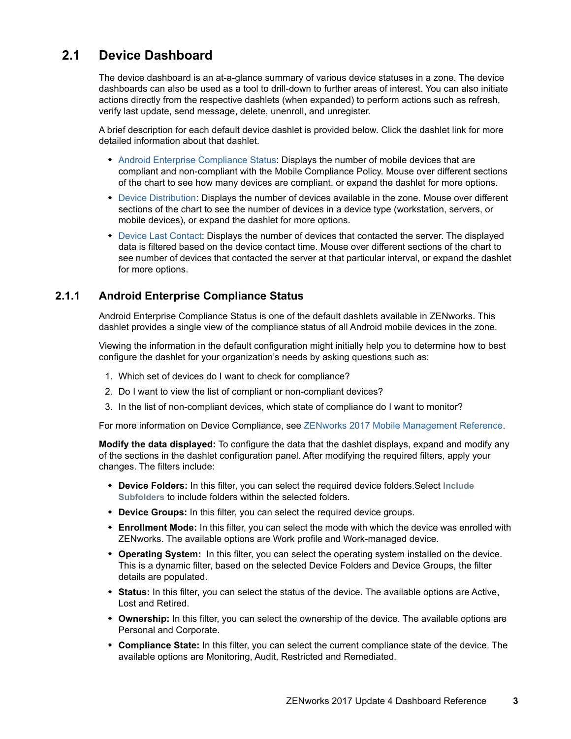## <span id="page-2-0"></span>**2.1 Device Dashboard**

The device dashboard is an at-a-glance summary of various device statuses in a zone. The device dashboards can also be used as a tool to drill-down to further areas of interest. You can also initiate actions directly from the respective dashlets (when expanded) to perform actions such as refresh, verify last update, send message, delete, unenroll, and unregister.

A brief description for each default device dashlet is provided below. Click the dashlet link for more detailed information about that dashlet.

- [Android Enterprise Compliance Status](#page-2-1): Displays the number of mobile devices that are compliant and non-compliant with the Mobile Compliance Policy. Mouse over different sections of the chart to see how many devices are compliant, or expand the dashlet for more options.
- [Device Distribution](#page-4-0): Displays the number of devices available in the zone. Mouse over different sections of the chart to see the number of devices in a device type (workstation, servers, or mobile devices), or expand the dashlet for more options.
- [Device Last Contact](#page-6-0): Displays the number of devices that contacted the server. The displayed data is filtered based on the device contact time. Mouse over different sections of the chart to see number of devices that contacted the server at that particular interval, or expand the dashlet for more options.

#### <span id="page-2-1"></span>**2.1.1 Android Enterprise Compliance Status**

Android Enterprise Compliance Status is one of the default dashlets available in ZENworks. This dashlet provides a single view of the compliance status of all Android mobile devices in the zone.

Viewing the information in the default configuration might initially help you to determine how to best configure the dashlet for your organization's needs by asking questions such as:

- 1. Which set of devices do I want to check for compliance?
- 2. Do I want to view the list of compliant or non-compliant devices?
- 3. In the list of non-compliant devices, which state of compliance do I want to monitor?

For more information on Device Compliance, see [ZENworks 2017 Mobile Management Reference](https://www.novell.com/documentation/zenworks2017/pdfdoc/zen_mobile/zen_mobile.pdf#bookinfo).

**Modify the data displayed:** To configure the data that the dashlet displays, expand and modify any of the sections in the dashlet configuration panel. After modifying the required filters, apply your changes. The filters include:

- **Device Folders:** In this filter, you can select the required device folders.Select **Include Subfolders** to include folders within the selected folders.
- **Device Groups:** In this filter, you can select the required device groups.
- **Enrollment Mode:** In this filter, you can select the mode with which the device was enrolled with ZENworks. The available options are Work profile and Work-managed device.
- **Operating System:** In this filter, you can select the operating system installed on the device. This is a dynamic filter, based on the selected Device Folders and Device Groups, the filter details are populated.
- **Status:** In this filter, you can select the status of the device. The available options are Active, Lost and Retired.
- **Ownership:** In this filter, you can select the ownership of the device. The available options are Personal and Corporate.
- **Compliance State:** In this filter, you can select the current compliance state of the device. The available options are Monitoring, Audit, Restricted and Remediated.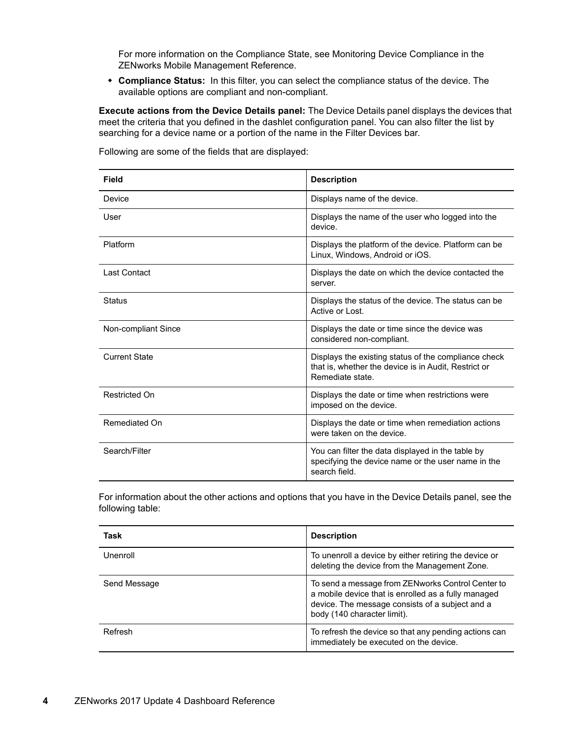For more information on the Compliance State, see Monitoring Device Compliance in the ZENworks Mobile Management Reference.

 **Compliance Status:** In this filter, you can select the compliance status of the device. The available options are compliant and non-compliant.

**Execute actions from the Device Details panel:** The Device Details panel displays the devices that meet the criteria that you defined in the dashlet configuration panel. You can also filter the list by searching for a device name or a portion of the name in the Filter Devices bar.

| <b>Field</b>         | <b>Description</b>                                                                                                               |
|----------------------|----------------------------------------------------------------------------------------------------------------------------------|
| Device               | Displays name of the device.                                                                                                     |
| User                 | Displays the name of the user who logged into the<br>device.                                                                     |
| Platform             | Displays the platform of the device. Platform can be<br>Linux, Windows, Android or iOS.                                          |
| Last Contact         | Displays the date on which the device contacted the<br>server.                                                                   |
| <b>Status</b>        | Displays the status of the device. The status can be<br>Active or Lost.                                                          |
| Non-compliant Since  | Displays the date or time since the device was<br>considered non-compliant.                                                      |
| <b>Current State</b> | Displays the existing status of the compliance check<br>that is, whether the device is in Audit, Restrict or<br>Remediate state. |
| Restricted On        | Displays the date or time when restrictions were<br>imposed on the device.                                                       |
| Remediated On        | Displays the date or time when remediation actions<br>were taken on the device.                                                  |
| Search/Filter        | You can filter the data displayed in the table by<br>specifying the device name or the user name in the<br>search field.         |

Following are some of the fields that are displayed:

For information about the other actions and options that you have in the Device Details panel, see the following table:

| Task         | <b>Description</b>                                                                                                                                                                         |
|--------------|--------------------------------------------------------------------------------------------------------------------------------------------------------------------------------------------|
| Unenroll     | To unenroll a device by either retiring the device or<br>deleting the device from the Management Zone.                                                                                     |
| Send Message | To send a message from ZENworks Control Center to<br>a mobile device that is enrolled as a fully managed<br>device. The message consists of a subject and a<br>body (140 character limit). |
| Refresh      | To refresh the device so that any pending actions can<br>immediately be executed on the device.                                                                                            |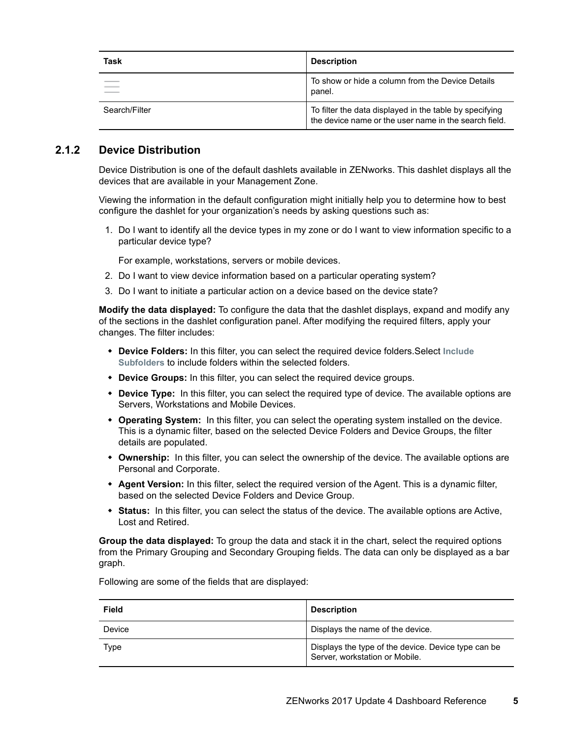| Task          | <b>Description</b>                                                                                               |
|---------------|------------------------------------------------------------------------------------------------------------------|
|               | To show or hide a column from the Device Details<br>panel.                                                       |
| Search/Filter | To filter the data displayed in the table by specifying<br>the device name or the user name in the search field. |

#### <span id="page-4-0"></span>**2.1.2 Device Distribution**

Device Distribution is one of the default dashlets available in ZENworks. This dashlet displays all the devices that are available in your Management Zone.

Viewing the information in the default configuration might initially help you to determine how to best configure the dashlet for your organization's needs by asking questions such as:

1. Do I want to identify all the device types in my zone or do I want to view information specific to a particular device type?

For example, workstations, servers or mobile devices.

- 2. Do I want to view device information based on a particular operating system?
- 3. Do I want to initiate a particular action on a device based on the device state?

**Modify the data displayed:** To configure the data that the dashlet displays, expand and modify any of the sections in the dashlet configuration panel. After modifying the required filters, apply your changes. The filter includes:

- **Device Folders:** In this filter, you can select the required device folders.Select **Include Subfolders** to include folders within the selected folders.
- **Device Groups:** In this filter, you can select the required device groups.
- **Device Type:** In this filter, you can select the required type of device. The available options are Servers, Workstations and Mobile Devices.
- **Operating System:** In this filter, you can select the operating system installed on the device. This is a dynamic filter, based on the selected Device Folders and Device Groups, the filter details are populated.
- **Ownership:** In this filter, you can select the ownership of the device. The available options are Personal and Corporate.
- **Agent Version:** In this filter, select the required version of the Agent. This is a dynamic filter, based on the selected Device Folders and Device Group.
- **Status:** In this filter, you can select the status of the device. The available options are Active, Lost and Retired.

**Group the data displayed:** To group the data and stack it in the chart, select the required options from the Primary Grouping and Secondary Grouping fields. The data can only be displayed as a bar graph.

**Field** Description Device **Displays** the name of the device. Type Displays the type of the device. Device type can be Server, workstation or Mobile.

Following are some of the fields that are displayed: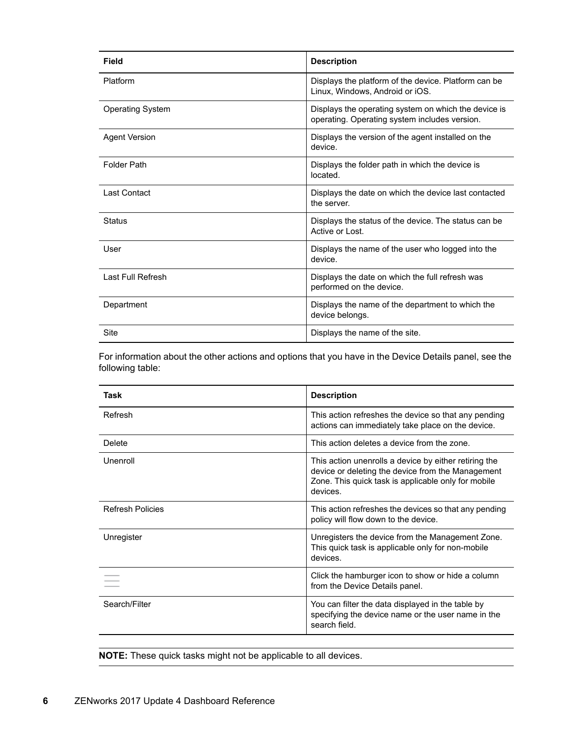| Field                   | <b>Description</b>                                                                                    |
|-------------------------|-------------------------------------------------------------------------------------------------------|
| Platform                | Displays the platform of the device. Platform can be<br>Linux, Windows, Android or iOS.               |
| <b>Operating System</b> | Displays the operating system on which the device is<br>operating. Operating system includes version. |
| <b>Agent Version</b>    | Displays the version of the agent installed on the<br>device.                                         |
| <b>Folder Path</b>      | Displays the folder path in which the device is<br>located.                                           |
| Last Contact            | Displays the date on which the device last contacted<br>the server.                                   |
| <b>Status</b>           | Displays the status of the device. The status can be<br>Active or Lost.                               |
| User                    | Displays the name of the user who logged into the<br>device.                                          |
| Last Full Refresh       | Displays the date on which the full refresh was<br>performed on the device.                           |
| Department              | Displays the name of the department to which the<br>device belongs.                                   |
| Site                    | Displays the name of the site.                                                                        |

For information about the other actions and options that you have in the Device Details panel, see the following table:

| Task                    | <b>Description</b>                                                                                                                                                            |
|-------------------------|-------------------------------------------------------------------------------------------------------------------------------------------------------------------------------|
| Refresh                 | This action refreshes the device so that any pending<br>actions can immediately take place on the device.                                                                     |
| Delete                  | This action deletes a device from the zone.                                                                                                                                   |
| Unenroll                | This action unenrolls a device by either retiring the<br>device or deleting the device from the Management<br>Zone. This quick task is applicable only for mobile<br>devices. |
| <b>Refresh Policies</b> | This action refreshes the devices so that any pending<br>policy will flow down to the device.                                                                                 |
| Unregister              | Unregisters the device from the Management Zone.<br>This quick task is applicable only for non-mobile<br>devices.                                                             |
|                         | Click the hamburger icon to show or hide a column<br>from the Device Details panel.                                                                                           |
| Search/Filter           | You can filter the data displayed in the table by<br>specifying the device name or the user name in the<br>search field.                                                      |

**NOTE:** These quick tasks might not be applicable to all devices.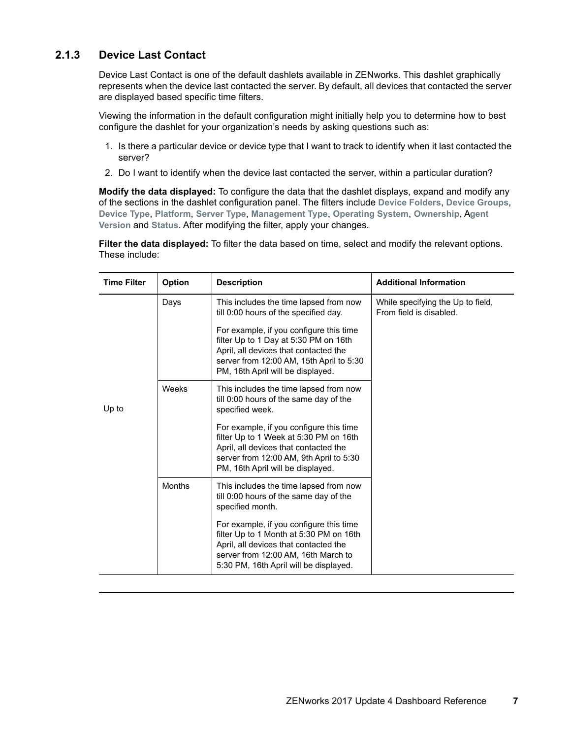### <span id="page-6-0"></span>**2.1.3 Device Last Contact**

Device Last Contact is one of the default dashlets available in ZENworks. This dashlet graphically represents when the device last contacted the server. By default, all devices that contacted the server are displayed based specific time filters.

Viewing the information in the default configuration might initially help you to determine how to best configure the dashlet for your organization's needs by asking questions such as:

- 1. Is there a particular device or device type that I want to track to identify when it last contacted the server?
- 2. Do I want to identify when the device last contacted the server, within a particular duration?

**Modify the data displayed:** To configure the data that the dashlet displays, expand and modify any of the sections in the dashlet configuration panel. The filters include **Device Folders**, **Device Groups**, **Device Type**, **Platform**, **Server Type**, **Management Type**, **Operating System**, **Ownership**, A**gent Version** and **Status**. After modifying the filter, apply your changes.

**Filter the data displayed:** To filter the data based on time, select and modify the relevant options. These include:

| <b>Time Filter</b> | <b>Option</b> | <b>Description</b>                                                                                                                                                                                                                                                                            | <b>Additional Information</b>                                |
|--------------------|---------------|-----------------------------------------------------------------------------------------------------------------------------------------------------------------------------------------------------------------------------------------------------------------------------------------------|--------------------------------------------------------------|
|                    | Days          | This includes the time lapsed from now<br>till 0:00 hours of the specified day.<br>For example, if you configure this time<br>filter Up to 1 Day at 5:30 PM on 16th<br>April, all devices that contacted the<br>server from 12:00 AM, 15th April to 5:30<br>PM, 16th April will be displayed. | While specifying the Up to field,<br>From field is disabled. |
| Up to              | Weeks         | This includes the time lapsed from now<br>till 0:00 hours of the same day of the<br>specified week.                                                                                                                                                                                           |                                                              |
|                    |               | For example, if you configure this time<br>filter Up to 1 Week at 5:30 PM on 16th<br>April, all devices that contacted the<br>server from 12:00 AM, 9th April to 5:30<br>PM, 16th April will be displayed.                                                                                    |                                                              |
|                    | <b>Months</b> | This includes the time lapsed from now<br>till 0:00 hours of the same day of the<br>specified month.                                                                                                                                                                                          |                                                              |
|                    |               | For example, if you configure this time<br>filter Up to 1 Month at 5:30 PM on 16th<br>April, all devices that contacted the<br>server from 12:00 AM, 16th March to<br>5:30 PM, 16th April will be displayed.                                                                                  |                                                              |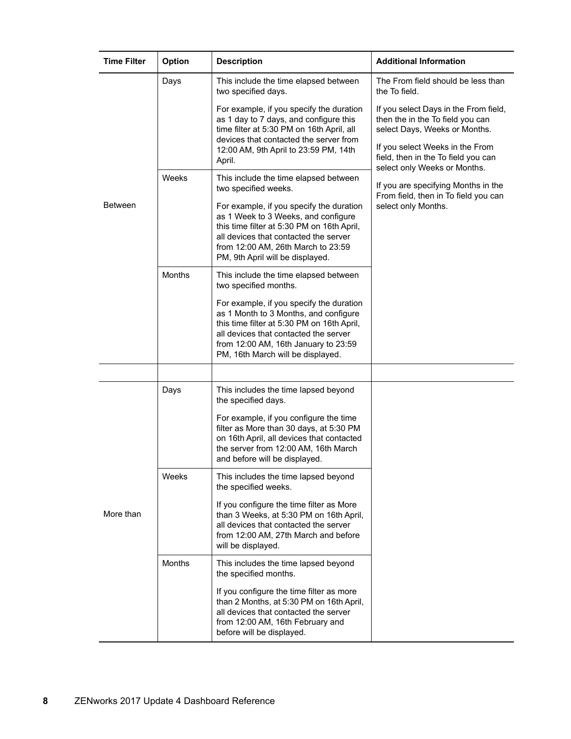| <b>Time Filter</b> | Option        | <b>Description</b>                                                                                                                                                                                                                                    | <b>Additional Information</b>                                                                                                                                                                                        |
|--------------------|---------------|-------------------------------------------------------------------------------------------------------------------------------------------------------------------------------------------------------------------------------------------------------|----------------------------------------------------------------------------------------------------------------------------------------------------------------------------------------------------------------------|
|                    | Days          | This include the time elapsed between<br>two specified days.                                                                                                                                                                                          | The From field should be less than<br>the To field.                                                                                                                                                                  |
|                    |               | For example, if you specify the duration<br>as 1 day to 7 days, and configure this<br>time filter at 5:30 PM on 16th April, all<br>devices that contacted the server from<br>12:00 AM, 9th April to 23:59 PM, 14th<br>April.                          | If you select Days in the From field,<br>then the in the To field you can<br>select Days, Weeks or Months.<br>If you select Weeks in the From<br>field, then in the To field you can<br>select only Weeks or Months. |
|                    | Weeks         | This include the time elapsed between<br>two specified weeks.                                                                                                                                                                                         | If you are specifying Months in the                                                                                                                                                                                  |
| Between            |               | For example, if you specify the duration<br>as 1 Week to 3 Weeks, and configure<br>this time filter at 5:30 PM on 16th April,<br>all devices that contacted the server<br>from 12:00 AM, 26th March to 23:59<br>PM, 9th April will be displayed.      | From field, then in To field you can<br>select only Months.                                                                                                                                                          |
|                    | Months        | This include the time elapsed between<br>two specified months.                                                                                                                                                                                        |                                                                                                                                                                                                                      |
|                    |               | For example, if you specify the duration<br>as 1 Month to 3 Months, and configure<br>this time filter at 5:30 PM on 16th April,<br>all devices that contacted the server<br>from 12:00 AM, 16th January to 23:59<br>PM, 16th March will be displayed. |                                                                                                                                                                                                                      |
|                    |               |                                                                                                                                                                                                                                                       |                                                                                                                                                                                                                      |
| More than          | Days          | This includes the time lapsed beyond<br>the specified days.                                                                                                                                                                                           |                                                                                                                                                                                                                      |
|                    |               | For example, if you configure the time<br>filter as More than 30 days, at 5:30 PM<br>on 16th April, all devices that contacted<br>the server from 12:00 AM, 16th March<br>and before will be displayed.                                               |                                                                                                                                                                                                                      |
|                    | Weeks         | This includes the time lapsed beyond<br>the specified weeks.                                                                                                                                                                                          |                                                                                                                                                                                                                      |
|                    |               | If you configure the time filter as More<br>than 3 Weeks, at 5:30 PM on 16th April,<br>all devices that contacted the server<br>from 12:00 AM, 27th March and before<br>will be displayed.                                                            |                                                                                                                                                                                                                      |
|                    | <b>Months</b> | This includes the time lapsed beyond<br>the specified months.                                                                                                                                                                                         |                                                                                                                                                                                                                      |
|                    |               | If you configure the time filter as more<br>than 2 Months, at 5:30 PM on 16th April,<br>all devices that contacted the server<br>from 12:00 AM, 16th February and<br>before will be displayed.                                                        |                                                                                                                                                                                                                      |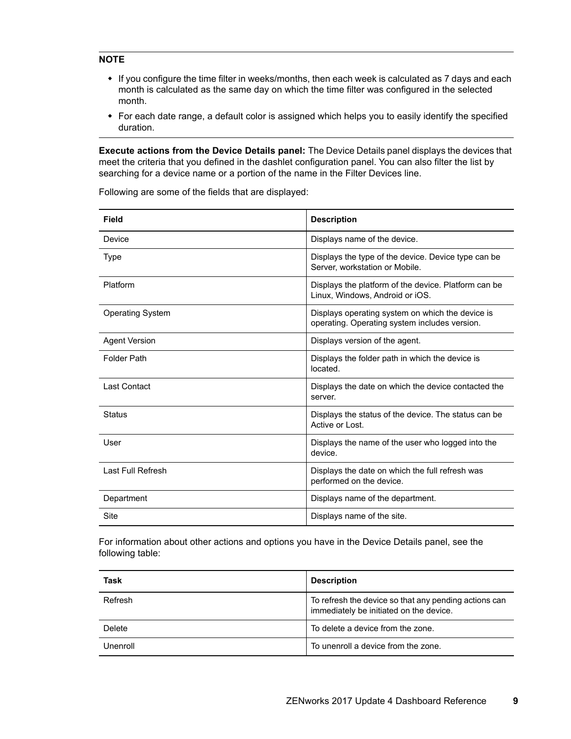#### **NOTE**

- If you configure the time filter in weeks/months, then each week is calculated as 7 days and each month is calculated as the same day on which the time filter was configured in the selected month.
- For each date range, a default color is assigned which helps you to easily identify the specified duration.

**Execute actions from the Device Details panel:** The Device Details panel displays the devices that meet the criteria that you defined in the dashlet configuration panel. You can also filter the list by searching for a device name or a portion of the name in the Filter Devices line.

| Field                   | <b>Description</b>                                                                                |
|-------------------------|---------------------------------------------------------------------------------------------------|
| Device                  | Displays name of the device.                                                                      |
| Type                    | Displays the type of the device. Device type can be<br>Server, workstation or Mobile.             |
| Platform                | Displays the platform of the device. Platform can be<br>Linux, Windows, Android or iOS.           |
| <b>Operating System</b> | Displays operating system on which the device is<br>operating. Operating system includes version. |
| <b>Agent Version</b>    | Displays version of the agent.                                                                    |
| <b>Folder Path</b>      | Displays the folder path in which the device is<br>located.                                       |
| <b>Last Contact</b>     | Displays the date on which the device contacted the<br>server.                                    |
| <b>Status</b>           | Displays the status of the device. The status can be<br>Active or Lost.                           |
| User                    | Displays the name of the user who logged into the<br>device.                                      |
| Last Full Refresh       | Displays the date on which the full refresh was<br>performed on the device.                       |
| Department              | Displays name of the department.                                                                  |
| Site                    | Displays name of the site.                                                                        |

Following are some of the fields that are displayed:

For information about other actions and options you have in the Device Details panel, see the following table:

| Task     | <b>Description</b>                                                                               |
|----------|--------------------------------------------------------------------------------------------------|
| Refresh  | To refresh the device so that any pending actions can<br>immediately be initiated on the device. |
| Delete   | To delete a device from the zone.                                                                |
| Unenroll | To unenroll a device from the zone.                                                              |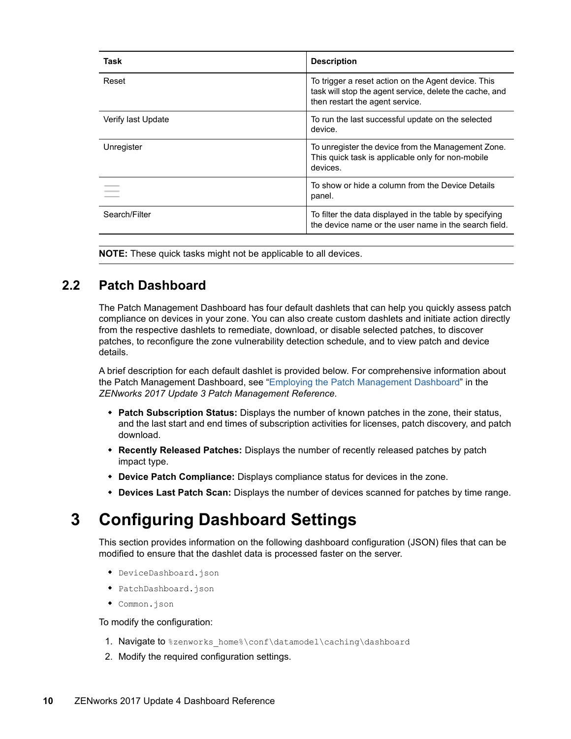| Task               | <b>Description</b>                                                                                                                                |
|--------------------|---------------------------------------------------------------------------------------------------------------------------------------------------|
| Reset              | To trigger a reset action on the Agent device. This<br>task will stop the agent service, delete the cache, and<br>then restart the agent service. |
| Verify last Update | To run the last successful update on the selected<br>device.                                                                                      |
| Unregister         | To unregister the device from the Management Zone.<br>This quick task is applicable only for non-mobile<br>devices.                               |
|                    | To show or hide a column from the Device Details<br>panel.                                                                                        |
| Search/Filter      | To filter the data displayed in the table by specifying<br>the device name or the user name in the search field.                                  |

**NOTE:** These quick tasks might not be applicable to all devices.

### <span id="page-9-0"></span>**2.2 Patch Dashboard**

The Patch Management Dashboard has four default dashlets that can help you quickly assess patch compliance on devices in your zone. You can also create custom dashlets and initiate action directly from the respective dashlets to remediate, download, or disable selected patches, to discover patches, to reconfigure the zone vulnerability detection schedule, and to view patch and device details.

A brief description for each default dashlet is provided below. For comprehensive information about the Patch Management Dashboard, see "[Employing the Patch Management Dashboard](https://www.novell.com/documentation/zenworks2017/pdfdoc/zen_pm_administration/zen_pm_administration.pdf#t46yizmzp6aj)" in the *ZENworks 2017 Update 3 Patch Management Reference*.

- **Patch Subscription Status:** Displays the number of known patches in the zone, their status, and the last start and end times of subscription activities for licenses, patch discovery, and patch download.
- **Recently Released Patches:** Displays the number of recently released patches by patch impact type.
- **Device Patch Compliance:** Displays compliance status for devices in the zone.
- **Devices Last Patch Scan:** Displays the number of devices scanned for patches by time range.

# <span id="page-9-1"></span>**3 Configuring Dashboard Settings**

This section provides information on the following dashboard configuration (JSON) files that can be modified to ensure that the dashlet data is processed faster on the server.

- DeviceDashboard.json
- PatchDashboard.json
- Common.json

To modify the configuration:

- 1. Navigate to %zenworks\_home%\conf\datamodel\caching\dashboard
- 2. Modify the required configuration settings.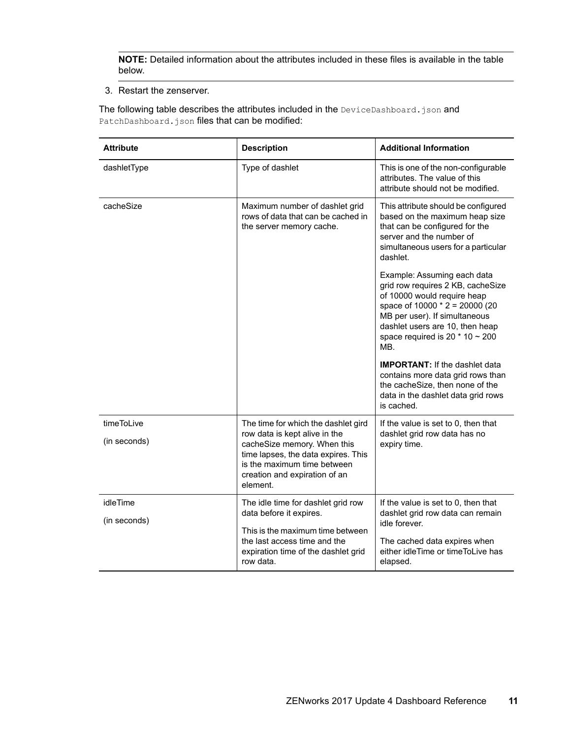**NOTE:** Detailed information about the attributes included in these files is available in the table below.

3. Restart the zenserver.

The following table describes the attributes included in the DeviceDashboard.json and PatchDashboard.json files that can be modified:

| <b>Attribute</b>         | <b>Description</b>                                                                                                                             | <b>Additional Information</b>                                                                                                                                                                                                                          |
|--------------------------|------------------------------------------------------------------------------------------------------------------------------------------------|--------------------------------------------------------------------------------------------------------------------------------------------------------------------------------------------------------------------------------------------------------|
| dashletType              | Type of dashlet                                                                                                                                | This is one of the non-configurable<br>attributes. The value of this<br>attribute should not be modified.                                                                                                                                              |
| cacheSize                | Maximum number of dashlet grid<br>rows of data that can be cached in<br>the server memory cache.                                               | This attribute should be configured<br>based on the maximum heap size<br>that can be configured for the<br>server and the number of<br>simultaneous users for a particular<br>dashlet.                                                                 |
|                          |                                                                                                                                                | Example: Assuming each data<br>grid row requires 2 KB, cacheSize<br>of 10000 would require heap<br>space of 10000 * 2 = 20000 (20<br>MB per user). If simultaneous<br>dashlet users are 10, then heap<br>space required is 20 $*$ 10 $\sim$ 200<br>MB. |
|                          |                                                                                                                                                | <b>IMPORTANT:</b> If the dashlet data<br>contains more data grid rows than<br>the cacheSize, then none of the<br>data in the dashlet data grid rows<br>is cached.                                                                                      |
| timeToLive               | The time for which the dashlet gird<br>row data is kept alive in the                                                                           | If the value is set to 0, then that<br>dashlet grid row data has no                                                                                                                                                                                    |
| (in seconds)             | cacheSize memory. When this<br>time lapses, the data expires. This<br>is the maximum time between<br>creation and expiration of an<br>element. | expiry time.                                                                                                                                                                                                                                           |
| idleTime<br>(in seconds) | The idle time for dashlet grid row<br>data before it expires.                                                                                  | If the value is set to 0, then that<br>dashlet grid row data can remain<br>idle forever.                                                                                                                                                               |
|                          | This is the maximum time between                                                                                                               |                                                                                                                                                                                                                                                        |
|                          | the last access time and the<br>expiration time of the dashlet grid<br>row data.                                                               | The cached data expires when<br>either idleTime or timeToLive has<br>elapsed.                                                                                                                                                                          |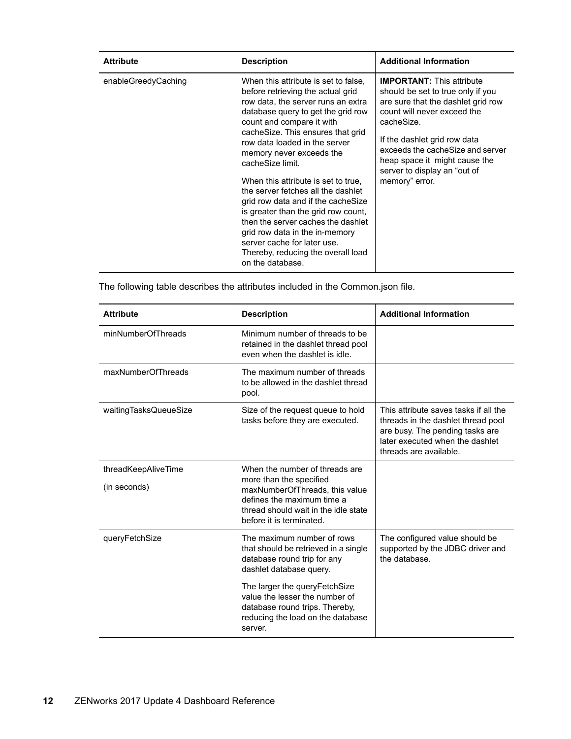| <b>Attribute</b>    | <b>Description</b>                                                                                                                                                                                                                                                                                                                                                                                                                                                                                                                                                                                                                  | <b>Additional Information</b>                                                                                                                                                                                                                                                                                   |
|---------------------|-------------------------------------------------------------------------------------------------------------------------------------------------------------------------------------------------------------------------------------------------------------------------------------------------------------------------------------------------------------------------------------------------------------------------------------------------------------------------------------------------------------------------------------------------------------------------------------------------------------------------------------|-----------------------------------------------------------------------------------------------------------------------------------------------------------------------------------------------------------------------------------------------------------------------------------------------------------------|
| enableGreedyCaching | When this attribute is set to false.<br>before retrieving the actual grid<br>row data, the server runs an extra<br>database query to get the grid row<br>count and compare it with<br>cacheSize. This ensures that grid<br>row data loaded in the server<br>memory never exceeds the<br>cacheSize limit.<br>When this attribute is set to true.<br>the server fetches all the dashlet<br>grid row data and if the cacheSize<br>is greater than the grid row count,<br>then the server caches the dashlet<br>grid row data in the in-memory<br>server cache for later use.<br>Thereby, reducing the overall load<br>on the database. | <b>IMPORTANT:</b> This attribute<br>should be set to true only if you<br>are sure that the dashlet grid row<br>count will never exceed the<br>cacheSize.<br>If the dashlet grid row data<br>exceeds the cacheSize and server<br>heap space it might cause the<br>server to display an "out of<br>memory" error. |

The following table describes the attributes included in the Common.json file.

| <b>Attribute</b>                    | <b>Description</b>                                                                                                                                                                                                                                                                | <b>Additional Information</b>                                                                                                                                               |
|-------------------------------------|-----------------------------------------------------------------------------------------------------------------------------------------------------------------------------------------------------------------------------------------------------------------------------------|-----------------------------------------------------------------------------------------------------------------------------------------------------------------------------|
| minNumberOfThreads                  | Minimum number of threads to be<br>retained in the dashlet thread pool<br>even when the dashlet is idle.                                                                                                                                                                          |                                                                                                                                                                             |
| maxNumberOfThreads                  | The maximum number of threads<br>to be allowed in the dashlet thread<br>pool.                                                                                                                                                                                                     |                                                                                                                                                                             |
| waitingTasksQueueSize               | Size of the request queue to hold<br>tasks before they are executed.                                                                                                                                                                                                              | This attribute saves tasks if all the<br>threads in the dashlet thread pool<br>are busy. The pending tasks are<br>later executed when the dashlet<br>threads are available. |
| threadKeepAliveTime<br>(in seconds) | When the number of threads are<br>more than the specified<br>maxNumberOfThreads, this value<br>defines the maximum time a<br>thread should wait in the idle state<br>before it is terminated.                                                                                     |                                                                                                                                                                             |
| queryFetchSize                      | The maximum number of rows<br>that should be retrieved in a single<br>database round trip for any<br>dashlet database query.<br>The larger the queryFetchSize<br>value the lesser the number of<br>database round trips. Thereby,<br>reducing the load on the database<br>server. | The configured value should be<br>supported by the JDBC driver and<br>the database.                                                                                         |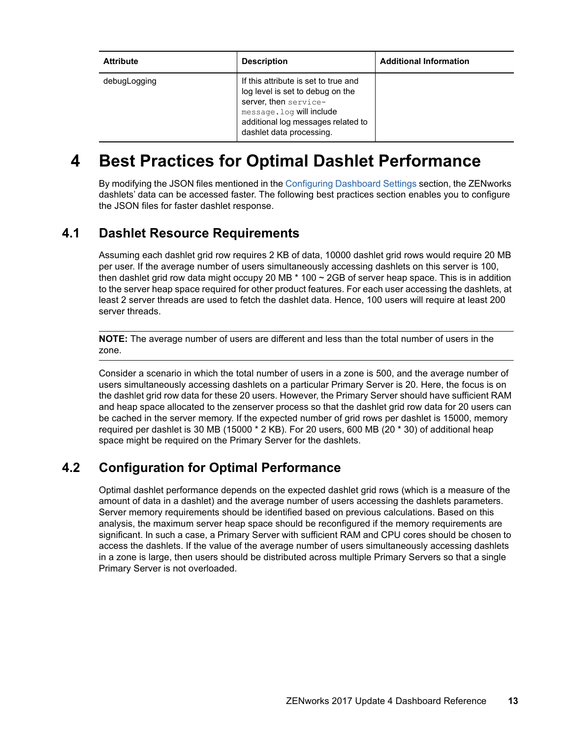| <b>Attribute</b> | <b>Description</b>                                                                                                                                                                               | <b>Additional Information</b> |
|------------------|--------------------------------------------------------------------------------------------------------------------------------------------------------------------------------------------------|-------------------------------|
| debugLogging     | If this attribute is set to true and<br>log level is set to debug on the<br>server, then service-<br>message. log will include<br>additional log messages related to<br>dashlet data processing. |                               |

# **4 Best Practices for Optimal Dashlet Performance**

By modifying the JSON files mentioned in the [Configuring Dashboard Settings](#page-9-1) section, the ZENworks dashlets' data can be accessed faster. The following best practices section enables you to configure the JSON files for faster dashlet response.

### **4.1 Dashlet Resource Requirements**

Assuming each dashlet grid row requires 2 KB of data, 10000 dashlet grid rows would require 20 MB per user. If the average number of users simultaneously accessing dashlets on this server is 100, then dashlet grid row data might occupy 20 MB  $*$  100  $\sim$  2GB of server heap space. This is in addition to the server heap space required for other product features. For each user accessing the dashlets, at least 2 server threads are used to fetch the dashlet data. Hence, 100 users will require at least 200 server threads.

**NOTE:** The average number of users are different and less than the total number of users in the zone.

Consider a scenario in which the total number of users in a zone is 500, and the average number of users simultaneously accessing dashlets on a particular Primary Server is 20. Here, the focus is on the dashlet grid row data for these 20 users. However, the Primary Server should have sufficient RAM and heap space allocated to the zenserver process so that the dashlet grid row data for 20 users can be cached in the server memory. If the expected number of grid rows per dashlet is 15000, memory required per dashlet is 30 MB (15000 \* 2 KB). For 20 users, 600 MB (20 \* 30) of additional heap space might be required on the Primary Server for the dashlets.

### **4.2 Configuration for Optimal Performance**

Optimal dashlet performance depends on the expected dashlet grid rows (which is a measure of the amount of data in a dashlet) and the average number of users accessing the dashlets parameters. Server memory requirements should be identified based on previous calculations. Based on this analysis, the maximum server heap space should be reconfigured if the memory requirements are significant. In such a case, a Primary Server with sufficient RAM and CPU cores should be chosen to access the dashlets. If the value of the average number of users simultaneously accessing dashlets in a zone is large, then users should be distributed across multiple Primary Servers so that a single Primary Server is not overloaded.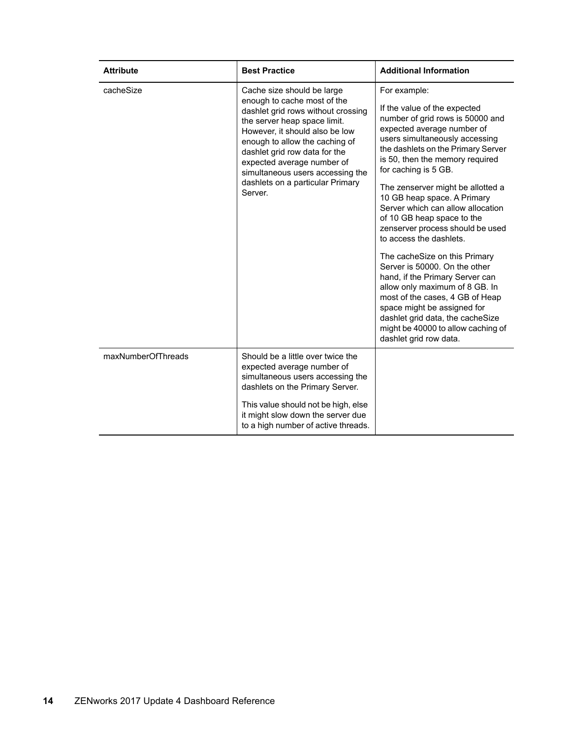| <b>Attribute</b>   | <b>Best Practice</b>                                                                                                                                                                                                                                                                                                                                  | <b>Additional Information</b>                                                                                                                                                                                                                                                                                                                                                                                                                                                                                                                                                                  |
|--------------------|-------------------------------------------------------------------------------------------------------------------------------------------------------------------------------------------------------------------------------------------------------------------------------------------------------------------------------------------------------|------------------------------------------------------------------------------------------------------------------------------------------------------------------------------------------------------------------------------------------------------------------------------------------------------------------------------------------------------------------------------------------------------------------------------------------------------------------------------------------------------------------------------------------------------------------------------------------------|
| cacheSize          | Cache size should be large<br>enough to cache most of the<br>dashlet grid rows without crossing<br>the server heap space limit.<br>However, it should also be low<br>enough to allow the caching of<br>dashlet grid row data for the<br>expected average number of<br>simultaneous users accessing the<br>dashlets on a particular Primary<br>Server. | For example:<br>If the value of the expected<br>number of grid rows is 50000 and<br>expected average number of<br>users simultaneously accessing<br>the dashlets on the Primary Server<br>is 50, then the memory required<br>for caching is 5 GB.<br>The zenserver might be allotted a<br>10 GB heap space. A Primary<br>Server which can allow allocation<br>of 10 GB heap space to the<br>zenserver process should be used<br>to access the dashlets.<br>The cacheSize on this Primary<br>Server is 50000. On the other<br>hand, if the Primary Server can<br>allow only maximum of 8 GB. In |
|                    |                                                                                                                                                                                                                                                                                                                                                       | most of the cases, 4 GB of Heap<br>space might be assigned for<br>dashlet grid data, the cacheSize<br>might be 40000 to allow caching of<br>dashlet grid row data.                                                                                                                                                                                                                                                                                                                                                                                                                             |
| maxNumberOfThreads | Should be a little over twice the<br>expected average number of<br>simultaneous users accessing the<br>dashlets on the Primary Server.                                                                                                                                                                                                                |                                                                                                                                                                                                                                                                                                                                                                                                                                                                                                                                                                                                |
|                    | This value should not be high, else<br>it might slow down the server due<br>to a high number of active threads.                                                                                                                                                                                                                                       |                                                                                                                                                                                                                                                                                                                                                                                                                                                                                                                                                                                                |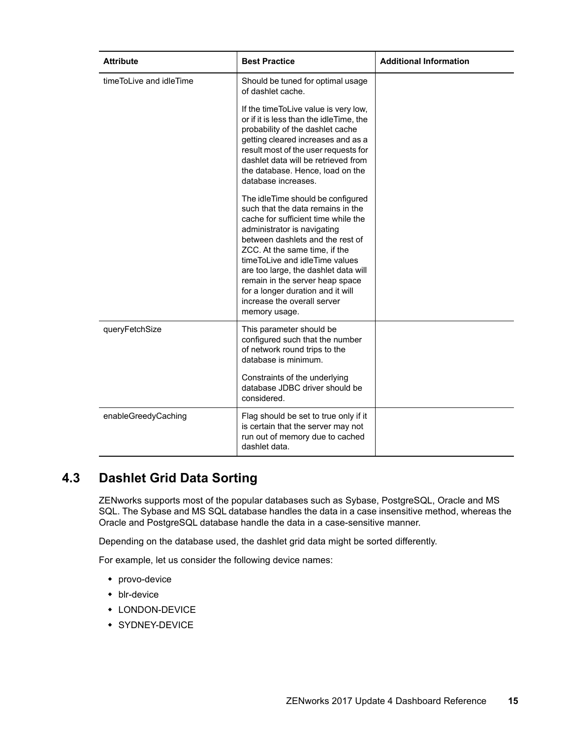| <b>Attribute</b>        | <b>Best Practice</b>                                                                                                                                                                                                                                                                                                                                                                                                | <b>Additional Information</b> |
|-------------------------|---------------------------------------------------------------------------------------------------------------------------------------------------------------------------------------------------------------------------------------------------------------------------------------------------------------------------------------------------------------------------------------------------------------------|-------------------------------|
| timeToLive and idleTime | Should be tuned for optimal usage<br>of dashlet cache.                                                                                                                                                                                                                                                                                                                                                              |                               |
|                         | If the time To Live value is very low,<br>or if it is less than the idleTime, the<br>probability of the dashlet cache<br>getting cleared increases and as a<br>result most of the user requests for<br>dashlet data will be retrieved from<br>the database. Hence, load on the<br>database increases.                                                                                                               |                               |
|                         | The idleTime should be configured<br>such that the data remains in the<br>cache for sufficient time while the<br>administrator is navigating<br>between dashlets and the rest of<br>ZCC. At the same time, if the<br>timeToLive and idleTime values<br>are too large, the dashlet data will<br>remain in the server heap space<br>for a longer duration and it will<br>increase the overall server<br>memory usage. |                               |
| queryFetchSize          | This parameter should be<br>configured such that the number<br>of network round trips to the<br>database is minimum.                                                                                                                                                                                                                                                                                                |                               |
|                         | Constraints of the underlying<br>database JDBC driver should be<br>considered.                                                                                                                                                                                                                                                                                                                                      |                               |
| enableGreedyCaching     | Flag should be set to true only if it<br>is certain that the server may not<br>run out of memory due to cached<br>dashlet data.                                                                                                                                                                                                                                                                                     |                               |

# **4.3 Dashlet Grid Data Sorting**

ZENworks supports most of the popular databases such as Sybase, PostgreSQL, Oracle and MS SQL. The Sybase and MS SQL database handles the data in a case insensitive method, whereas the Oracle and PostgreSQL database handle the data in a case-sensitive manner.

Depending on the database used, the dashlet grid data might be sorted differently.

For example, let us consider the following device names:

- provo-device
- blr-device
- LONDON-DEVICE
- **\* SYDNEY-DEVICE**